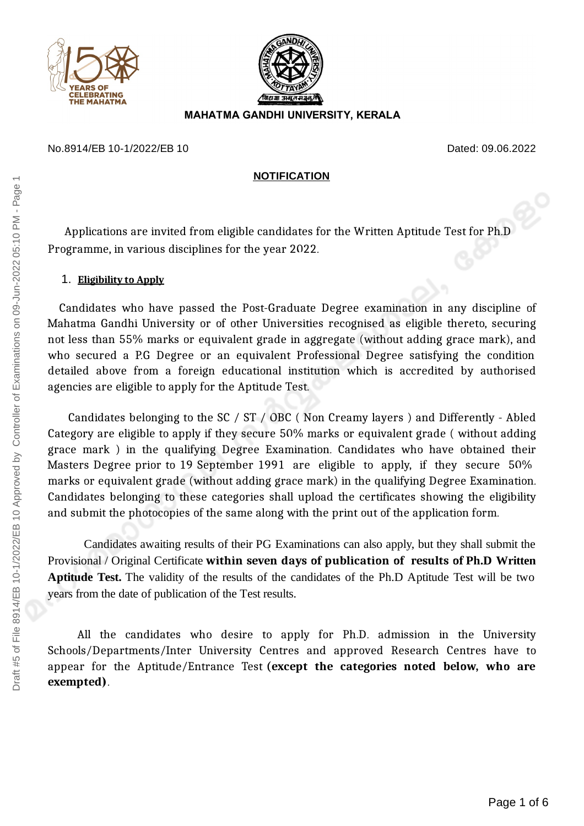



## **MAHATMA GANDHI UNIVERSITY, KERALA**

### No.8914/EB 10-1/2022/EB 10 Dated: 09.06.2022

### **NOTIFICATION**

Applications are invited from eligible candidates for the Written Aptitude Test for Ph.D Programme, in various disciplines for the year 2022.

## 1. **Eligibility to Apply**

Candidates who have passed the Post-Graduate Degree examination in any discipline of Mahatma Gandhi University or of other Universities recognised as eligible thereto, securing not less than 55% marks or equivalent grade in aggregate (without adding grace mark), and who secured a P.G Degree or an equivalent Professional Degree satisfying the condition detailed above from a foreign educational institution which is accredited by authorised agencies are eligible to apply for the Aptitude Test.

Candidates belonging to the SC / ST / OBC ( Non Creamy layers ) and Differently - Abled Category are eligible to apply if they secure 50% marks or equivalent grade ( without adding grace mark ) in the qualifying Degree Examination. Candidates who have obtained their Masters Degree prior to 19 September 1991 are eligible to apply, if they secure 50% marks or equivalent grade (without adding grace mark) in the qualifying Degree Examination. Candidates belonging to these categories shall upload the certificates showing the eligibility and submit the photocopies of the same along with the print out of the application form.

Candidates awaiting results of their PG Examinations can also apply, but they shall submit the Provisional / Original Certificate **within seven days of publication of results of Ph.D Written Aptitude Test.** The validity of the results of the candidates of the Ph.D Aptitude Test will be two years from the date of publication of the Test results.

All the candidates who desire to apply for Ph.D. admission in the University Schools/Departments/Inter University Centres and approved Research Centres have to appear for the Aptitude/Entrance Test **(except the categories noted below, who are exempted)**.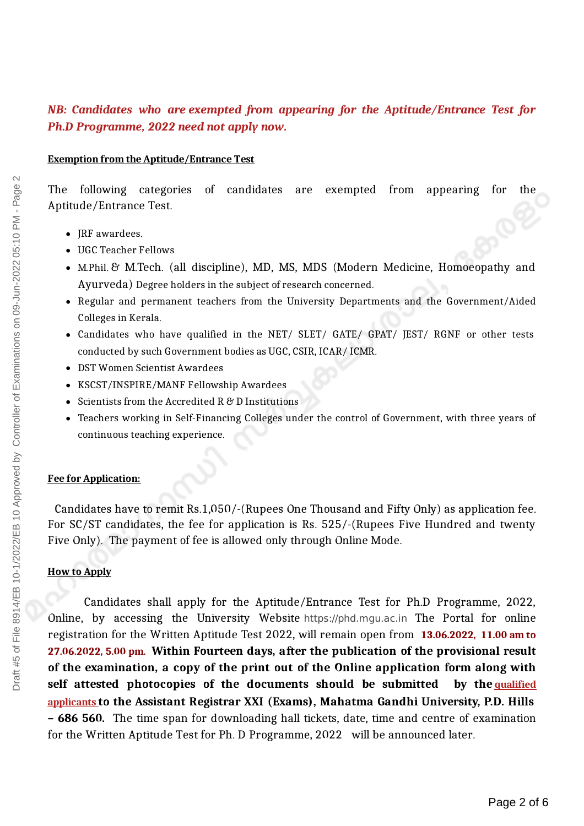# *NB: Candidates who are exempted from appearing for the Aptitude/Entrance Test for Ph.D Programme, 2022 need not apply now.*

#### **Exemption from the Aptitude/Entrance Test**

The following categories of candidates are exempted from appearing for the Aptitude/Entrance Test.

- IRF awardees.
- UGC Teacher Fellows
- M.Phil. & M.Tech. (all discipline), MD, MS, MDS (Modern Medicine, Homoeopathy and Ayurveda) Degree holders in the subject of research concerned.
- Regular and permanent teachers from the University Departments and the Government/Aided Colleges in Kerala.
- Candidates who have qualified in the NET/ SLET/ GATE/ GPAT/ JEST/ RGNF or other tests conducted by such Government bodies as UGC, CSIR, ICAR/ ICMR.
- DST Women Scientist Awardees
- KSCST/INSPIRE/MANF Fellowship Awardees
- $\bullet$  Scientists from the Accredited R & D Institutions
- Teachers working in Self-Financing Colleges under the control of Government, with three years of continuous teaching experience.

#### **Fee for Application:**

Candidates have to remit Rs.1,050/-(Rupees One Thousand and Fifty Only) as application fee. For SC/ST candidates, the fee for application is Rs. 525/-(Rupees Five Hundred and twenty Five Only). The payment of fee is allowed only through Online Mode.

### **How to Apply**

Candidates shall apply for the Aptitude/Entrance Test for Ph.D Programme, 2022, Online, by accessing the University Website https://phd.mgu.ac.in The Portal for online registration for the Written Aptitude Test 2022, will remain open from **13.06.2022, 11.00 am to 27.06.2022, 5.00 pm. Within Fourteen days, after the publication of the provisional result of the examination, a copy of the print out of the Online application form along with self attested photocopies of the documents should be submitted by the qualified applicants to the Assistant Registrar XXI (Exams), Mahatma Gandhi University, P.D. Hills – 686 560.** The time span for downloading hall tickets, date, time and centre of examination for the Written Aptitude Test for Ph. D Programme, 2022 will be announced later.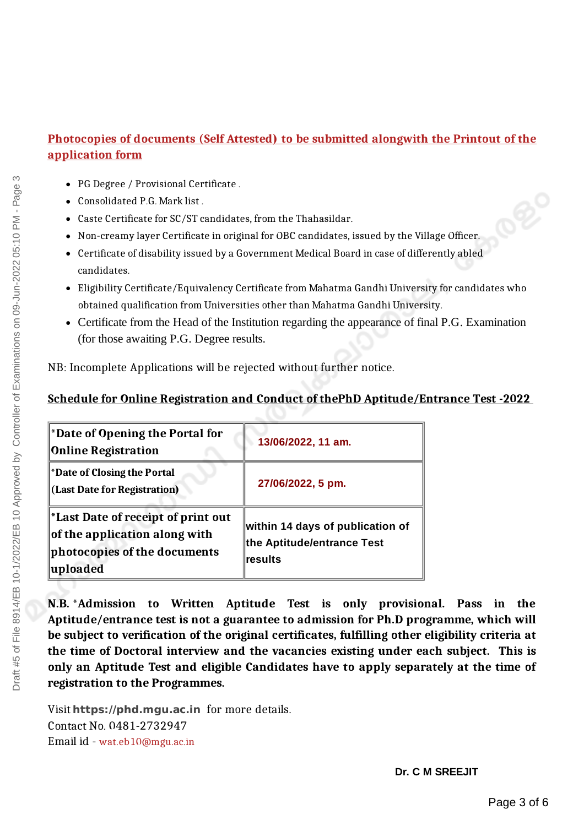# **Photocopies of documents (Self Attested) to be submitted alongwith the Printout of the application form**

- PG Degree / Provisional Certificate .
- Consolidated P.G. Mark list .
- Caste Certificate for SC/ST candidates, from the Thahasildar.
- Non-creamy layer Certificate in original for OBC candidates, issued by the Village Officer.
- Certificate of disability issued by a Government Medical Board in case of differently abled candidates.
- Eligibility Certificate/Equivalency Certificate from Mahatma Gandhi University for candidates who obtained qualification from Universities other than Mahatma Gandhi University.
- Certificate from the Head of the Institution regarding the appearance of final P.G. Examination (for those awaiting P.G. Degree results.

NB: Incomplete Applications will be rejected without further notice.

# **Schedule for Online Registration and Conduct of thePhD Aptitude/Entrance Test -2022**

| <b>Date of Opening the Portal for</b><br><b>Online Registration</b>                                            | 13/06/2022, 11 am.                                                         |
|----------------------------------------------------------------------------------------------------------------|----------------------------------------------------------------------------|
| *Date of Closing the Portal<br>(Last Date for Registration)                                                    | 27/06/2022, 5 pm.                                                          |
| Last Date of receipt of print out<br>of the application along with<br>photocopies of the documents<br>uploaded | within 14 days of publication of<br>the Aptitude/entrance Test<br>∣results |

**N.B.** \***Admission to Written Aptitude Test is only provisional. Pass in the Aptitude/entrance test is not a guarantee to admission for Ph.D programme, which will be subject to verification of the original certificates, fulfilling other eligibility criteria at the time of Doctoral interview and the vacancies existing under each subject. This is only an Aptitude Test and eligible Candidates have to apply separately at the time of registration to the Programmes.**

Visit **https://phd.mgu.ac.in** for more details. Contact No. 0481-2732947 Email id - wat.eb10@mgu.ac.in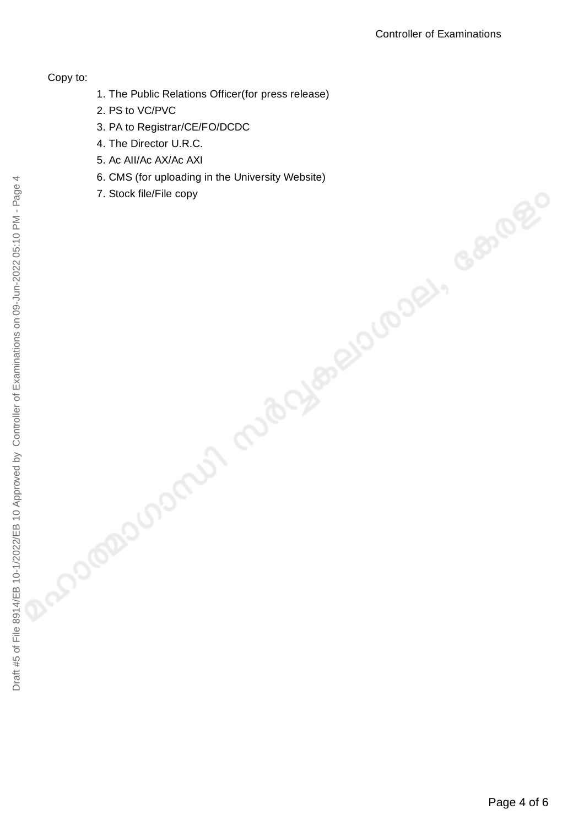## Copy to:

- 1. The Public Relations Officer(for press release)
- 2. PS to VC/PVC
- 3. PA to Registrar/CE/FO/DCDC
- 4. The Director U.R.C.
- 5. Ac AII/Ac AX/Ac AXI
- 6. CMS (for uploading in the University Website)
- 7. Stock file/File copy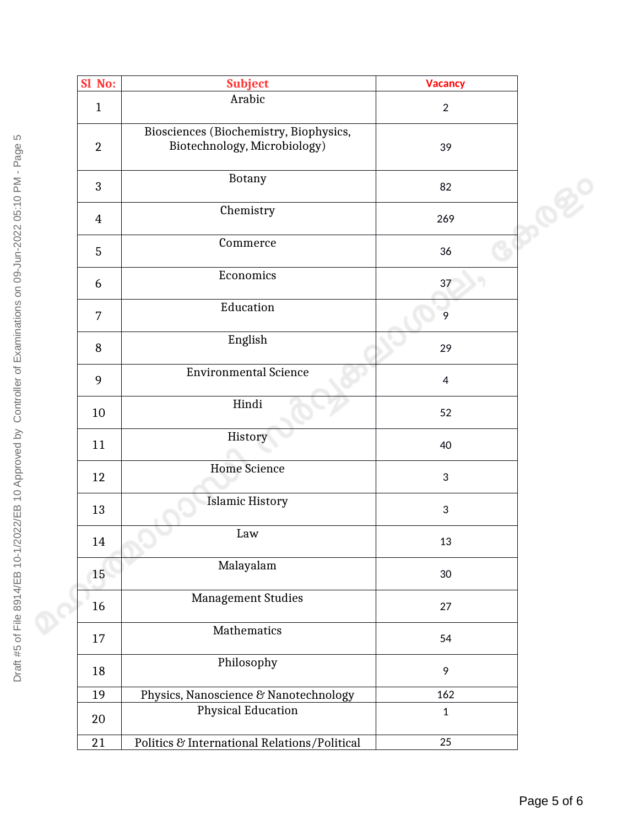|  | Sl No:         | <b>Subject</b>                                                         | <b>Vacancy</b>            |                 |
|--|----------------|------------------------------------------------------------------------|---------------------------|-----------------|
|  |                | Arabic                                                                 |                           |                 |
|  | $\mathbf{1}$   |                                                                        | $\overline{2}$            |                 |
|  | $\overline{2}$ | Biosciences (Biochemistry, Biophysics,<br>Biotechnology, Microbiology) | 39                        |                 |
|  |                |                                                                        |                           |                 |
|  | 3              | <b>Botany</b>                                                          | 82                        |                 |
|  | $\overline{4}$ | Chemistry                                                              | 269                       | $\mathcal{O}^2$ |
|  | 5              | Commerce                                                               | 36                        |                 |
|  | 6              | Economics                                                              | 37                        |                 |
|  | $\overline{7}$ | Education                                                              | $\overline{9}$            |                 |
|  | 8              | English                                                                | 29                        |                 |
|  | 9              | <b>Environmental Science</b>                                           | $\overline{4}$            |                 |
|  | 10             | Hindi                                                                  | 52                        |                 |
|  | 11             | History                                                                | 40                        |                 |
|  | 12             | <b>Home Science</b>                                                    | $\mathfrak{S}$            |                 |
|  | 13             | <b>Islamic History</b>                                                 | $\ensuremath{\mathsf{3}}$ |                 |
|  | 14             | Law                                                                    | 13                        |                 |
|  | 15             | Malayalam                                                              | $30\,$                    |                 |
|  | 16             | <b>Management Studies</b>                                              | 27                        |                 |
|  | 17             | Mathematics                                                            | 54                        |                 |
|  | 18             | Philosophy                                                             | 9                         |                 |
|  | 19             | Physics, Nanoscience & Nanotechnology                                  | 162                       |                 |
|  | 20             | <b>Physical Education</b>                                              | $\mathbf{1}$              |                 |
|  | 21             | Politics & International Relations/Political                           | 25                        |                 |